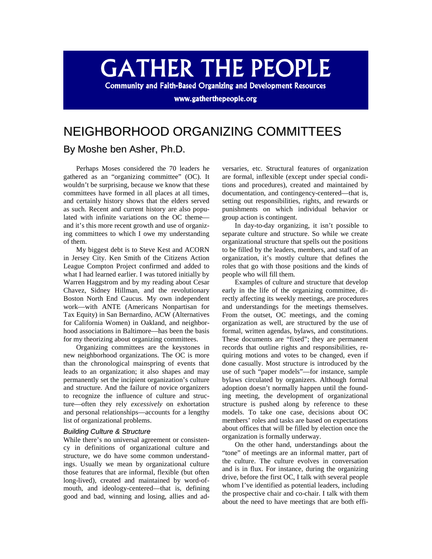# **GATHER THE PEOPLE**

**Community and Faith-Based Organizing and Development Resources** 

www.gatherthepeople.org

## NEIGHBORHOOD ORGANIZING COMMITTEES

### By Moshe ben Asher, Ph.D.

Perhaps Moses considered the 70 leaders he gathered as an "organizing committee" (OC). It wouldn't be surprising, because we know that these committees have formed in all places at all times, and certainly history shows that the elders served as such. Recent and current history are also populated with infinite variations on the OC theme and it's this more recent growth and use of organizing committees to which I owe my understanding of them.

My biggest debt is to Steve Kest and ACORN in Jersey City. Ken Smith of the Citizens Action League Compton Project confirmed and added to what I had learned earlier. I was tutored initially by Warren Haggstrom and by my reading about Cesar Chavez, Sidney Hillman, and the revolutionary Boston North End Caucus. My own independent work—with ANTE (Americans Nonpartisan for Tax Equity) in San Bernardino, ACW (Alternatives for California Women) in Oakland, and neighborhood associations in Baltimore—has been the basis for my theorizing about organizing committees.

Organizing committees are the keystones in new neighborhood organizations. The OC is more than the chronological mainspring of events that leads to an organization; it also shapes and may permanently set the incipient organization's culture and structure. And the failure of novice organizers to recognize the influence of culture and structure—often they rely *excessively* on exhortation and personal relationships—accounts for a lengthy list of organizational problems.

#### *Building Culture & Structure*

While there's no universal agreement or consistency in definitions of organizational culture and structure, we do have some common understandings. Usually we mean by organizational culture those features that are informal, flexible (but often long-lived), created and maintained by word-ofmouth, and ideology-centered—that is, defining good and bad, winning and losing, allies and adversaries, etc. Structural features of organization are formal, inflexible (except under special conditions and procedures), created and maintained by documentation, and contingency-centered—that is, setting out responsibilities, rights, and rewards or punishments on which individual behavior or group action is contingent.

In day-to-day organizing, it isn't possible to separate culture and structure. So while we create organizational structure that spells out the positions to be filled by the leaders, members, and staff of an organization, it's mostly culture that defines the roles that go with those positions and the kinds of people who will fill them.

Examples of culture and structure that develop early in the life of the organizing committee, directly affecting its weekly meetings, are procedures and understandings for the meetings themselves. From the outset, OC meetings, and the coming organization as well, are structured by the use of formal, written agendas, bylaws, and constitutions. These documents are "fixed"; they are permanent records that outline rights and responsibilities, requiring motions and votes to be changed, even if done casually. Most structure is introduced by the use of such "paper models"—for instance, sample bylaws circulated by organizers. Although formal adoption doesn't normally happen until the founding meeting, the development of organizational structure is pushed along by reference to these models. To take one case, decisions about OC members' roles and tasks are based on expectations about offices that will be filled by election once the organization is formally underway.

On the other hand, understandings about the "tone" of meetings are an informal matter, part of the culture. The culture evolves in conversation and is in flux. For instance, during the organizing drive, before the first OC, I talk with several people whom I've identified as potential leaders, including the prospective chair and co-chair. I talk with them about the need to have meetings that are both effi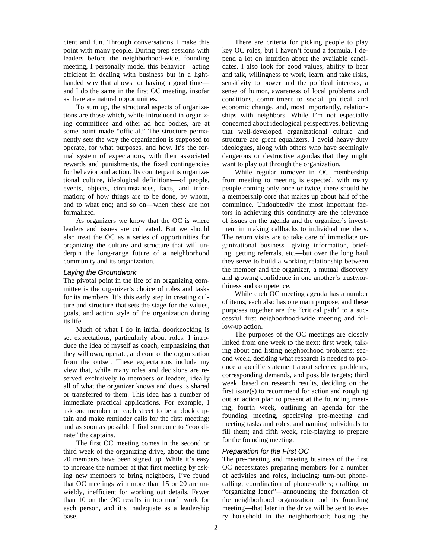cient and fun. Through conversations I make this point with many people. During prep sessions with leaders before the neighborhood-wide, founding meeting, I personally model this behavior—acting efficient in dealing with business but in a lighthanded way that allows for having a good time and I do the same in the first OC meeting, insofar as there are natural opportunities.

To sum up, the structural aspects of organizations are those which, while introduced in organizing committees and other ad hoc bodies, are at some point made "official." The structure permanently sets the way the organization is supposed to operate, for what purposes, and how. It's the formal system of expectations, with their associated rewards and punishments, the fixed contingencies for behavior and action. Its counterpart is organizational culture, ideological definitions—of people, events, objects, circumstances, facts, and information; of how things are to be done, by whom, and to what end; and so on—when these are not formalized.

As organizers we know that the OC is where leaders and issues are cultivated. But we should also treat the OC as a series of opportunities for organizing the culture and structure that will underpin the long-range future of a neighborhood community and its organization.

#### *Laying the Groundwork*

The pivotal point in the life of an organizing committee is the organizer's choice of roles and tasks for its members. It's this early step in creating culture and structure that sets the stage for the values, goals, and action style of the organization during its life.

Much of what I do in initial doorknocking is set expectations, particularly about roles. I introduce the idea of myself as coach, emphasizing that they will own, operate, and control the organization from the outset. These expectations include my view that, while many roles and decisions are reserved exclusively to members or leaders, ideally all of what the organizer knows and does is shared or transferred to them. This idea has a number of immediate practical applications. For example, I ask one member on each street to be a block captain and make reminder calls for the first meeting; and as soon as possible I find someone to "coordinate" the captains.

The first OC meeting comes in the second or third week of the organizing drive, about the time 20 members have been signed up. While it's easy to increase the number at that first meeting by asking new members to bring neighbors, I've found that OC meetings with more than 15 or 20 are unwieldy, inefficient for working out details. Fewer than 10 on the OC results in too much work for each person, and it's inadequate as a leadership base.

There are criteria for picking people to play key OC roles, but I haven't found a formula. I depend a lot on intuition about the available candidates. I also look for good values, ability to hear and talk, willingness to work, learn, and take risks, sensitivity to power and the political interests, a sense of humor, awareness of local problems and conditions, commitment to social, political, and economic change, and, most importantly, relationships with neighbors. While I'm not especially concerned about ideological perspectives, believing that well-developed organizational culture and structure are great equalizers, I avoid heavy-duty ideologues, along with others who have seemingly dangerous or destructive agendas that they might want to play out through the organization.

While regular turnover in OC membership from meeting to meeting is expected, with many people coming only once or twice, there should be a membership core that makes up about half of the committee. Undoubtedly the most important factors in achieving this continuity are the relevance of issues on the agenda and the organizer's investment in making callbacks to individual members. The return visits are to take care of immediate organizational business—giving information, briefing, getting referrals, etc.—but over the long haul they serve to build a working relationship between the member and the organizer, a mutual discovery and growing confidence in one another's trustworthiness and competence.

While each OC meeting agenda has a number of items, each also has one main purpose; and these purposes together are the "critical path" to a successful first neighborhood-wide meeting and follow-up action.

The purposes of the OC meetings are closely linked from one week to the next: first week, talking about and listing neighborhood problems; second week, deciding what research is needed to produce a specific statement about selected problems, corresponding demands, and possible targets; third week, based on research results, deciding on the first issue(s) to recommend for action and roughing out an action plan to present at the founding meeting; fourth week, outlining an agenda for the founding meeting, specifying pre-meeting and meeting tasks and roles, and naming individuals to fill them; and fifth week, role-playing to prepare for the founding meeting.

#### *Preparation for the First OC*

The pre-meeting and meeting business of the first OC necessitates preparing members for a number of activities and roles, including: turn-out phonecalling; coordination of phone-callers; drafting an "organizing letter"—announcing the formation of the neighborhood organization and its founding meeting—that later in the drive will be sent to every household in the neighborhood; hosting the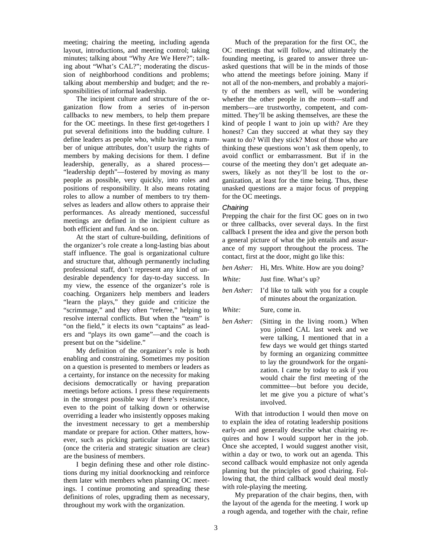meeting; chairing the meeting, including agenda layout, introductions, and meeting control; taking minutes; talking about "Why Are We Here?"; talking about "What's CAL?"; moderating the discussion of neighborhood conditions and problems; talking about membership and budget; and the responsibilities of informal leadership.

The incipient culture and structure of the organization flow from a series of in-person callbacks to new members, to help them prepare for the OC meetings. In these first get-togethers I put several definitions into the budding culture. I define leaders as people who, while having a number of unique attributes, don't usurp the rights of members by making decisions for them. I define leadership, generally, as a shared process— "leadership depth"—fostered by moving as many people as possible, very quickly, into roles and positions of responsibility. It also means rotating roles to allow a number of members to try themselves as leaders and allow others to appraise their performances. As already mentioned, successful meetings are defined in the incipient culture as both efficient and fun. And so on.

At the start of culture-building, definitions of the organizer's role create a long-lasting bias about staff influence. The goal is organizational culture and structure that, although permanently including professional staff, don't represent any kind of undesirable dependency for day-to-day success. In my view, the essence of the organizer's role is coaching. Organizers help members and leaders "learn the plays," they guide and criticize the "scrimmage," and they often "referee," helping to resolve internal conflicts. But when the "team" is "on the field," it elects its own "captains" as leaders and "plays its own game"—and the coach is present but on the "sideline."

My definition of the organizer's role is both enabling and constraining. Sometimes my position on a question is presented to members or leaders as a certainty, for instance on the necessity for making decisions democratically or having preparation meetings before actions. I press these requirements in the strongest possible way if there's resistance, even to the point of talking down or otherwise overriding a leader who insistently opposes making the investment necessary to get a membership mandate or prepare for action. Other matters, however, such as picking particular issues or tactics (once the criteria and strategic situation are clear) are the business of members.

I begin defining these and other role distinctions during my initial doorknocking and reinforce them later with members when planning OC meetings. I continue promoting and spreading these definitions of roles, upgrading them as necessary, throughout my work with the organization.

Much of the preparation for the first OC, the OC meetings that will follow, and ultimately the founding meeting, is geared to answer three unasked questions that will be in the minds of those who attend the meetings before joining. Many if not all of the non-members, and probably a majority of the members as well, will be wondering whether the other people in the room—staff and members—are trustworthy, competent, and committed. They'll be asking themselves, are these the kind of people I want to join up with? Are they honest? Can they succeed at what they say they want to do? Will they stick? Most of those who are thinking these questions won't ask them openly, to avoid conflict or embarrassment. But if in the course of the meeting they don't get adequate answers, likely as not they'll be lost to the organization, at least for the time being. Thus, these unasked questions are a major focus of prepping for the OC meetings.

#### *Chairing*

Prepping the chair for the first OC goes on in two or three callbacks, over several days. In the first callback I present the idea and give the person both a general picture of what the job entails and assurance of my support throughout the process. The contact, first at the door, might go like this:

- *ben Asher:* Hi, Mrs. White. How are you doing?
- *White:* Just fine. What's up?
- *ben Asher:* I'd like to talk with you for a couple of minutes about the organization.
- *White:* Sure, come in.
- *ben Asher:* (Sitting in the living room.) When you joined CAL last week and we were talking, I mentioned that in a few days we would get things started by forming an organizing committee to lay the groundwork for the organization. I came by today to ask if you would chair the first meeting of the committee—but before you decide, let me give you a picture of what's involved.

With that introduction I would then move on to explain the idea of rotating leadership positions early-on and generally describe what chairing requires and how I would support her in the job. Once she accepted, I would suggest another visit, within a day or two, to work out an agenda. This second callback would emphasize not only agenda planning but the principles of good chairing. Following that, the third callback would deal mostly with role-playing the meeting.

My preparation of the chair begins, then, with the layout of the agenda for the meeting. I work up a rough agenda, and together with the chair, refine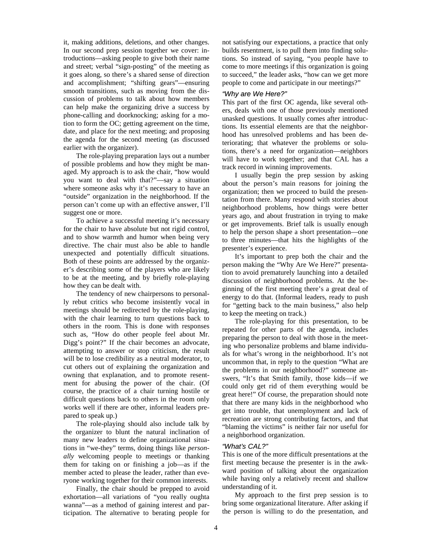it, making additions, deletions, and other changes. In our second prep session together we cover: introductions—asking people to give both their name and street; verbal "sign-posting" of the meeting as it goes along, so there's a shared sense of direction and accomplishment; "shifting gears"—ensuring smooth transitions, such as moving from the discussion of problems to talk about how members can help make the organizing drive a success by phone-calling and doorknocking; asking for a motion to form the OC; getting agreement on the time, date, and place for the next meeting; and proposing the agenda for the second meeting (as discussed earlier with the organizer).

The role-playing preparation lays out a number of possible problems and how they might be managed. My approach is to ask the chair, "how would you want to deal with that?"—say a situation where someone asks why it's necessary to have an "outside" organization in the neighborhood. If the person can't come up with an effective answer, I'll suggest one or more.

To achieve a successful meeting it's necessary for the chair to have absolute but not rigid control, and to show warmth and humor when being very directive. The chair must also be able to handle unexpected and potentially difficult situations. Both of these points are addressed by the organizer's describing some of the players who are likely to be at the meeting, and by briefly role-playing how they can be dealt with.

The tendency of new chairpersons to personally rebut critics who become insistently vocal in meetings should be redirected by the role-playing, with the chair learning to turn questions back to others in the room. This is done with responses such as, "How do other people feel about Mr. Digg's point?" If the chair becomes an advocate, attempting to answer or stop criticism, the result will be to lose credibility as a neutral moderator, to cut others out of explaining the organization and owning that explanation, and to promote resentment for abusing the power of the chair. (Of course, the practice of a chair turning hostile or difficult questions back to others in the room only works well if there are other, informal leaders prepared to speak up.)

The role-playing should also include talk by the organizer to blunt the natural inclination of many new leaders to define organizational situations in "we-they" terms, doing things like *personally* welcoming people to meetings or thanking them for taking on or finishing a job—as if the member acted to please the leader, rather than everyone working together for their common interests.

Finally, the chair should be prepped to avoid exhortation—all variations of "you really oughta wanna"—as a method of gaining interest and participation. The alternative to berating people for not satisfying our expectations, a practice that only builds resentment, is to pull them into finding solutions. So instead of saying, "you people have to come to more meetings if this organization is going to succeed," the leader asks, "how can we get more people to come and participate in our meetings?"

#### *"Why are We Here?"*

This part of the first OC agenda, like several others, deals with one of those previously mentioned unasked questions. It usually comes after introductions. Its essential elements are that the neighborhood has unresolved problems and has been deteriorating; that whatever the problems or solutions, there's a need for organization—neighbors will have to work together; and that CAL has a track record in winning improvements.

I usually begin the prep session by asking about the person's main reasons for joining the organization; then we proceed to build the presentation from there. Many respond with stories about neighborhood problems, how things were better years ago, and about frustration in trying to make or get improvements. Brief talk is usually enough to help the person shape a short presentation—one to three minutes—that hits the highlights of the presenter's experience.

It's important to prep both the chair and the person making the "Why Are We Here?" presentation to avoid prematurely launching into a detailed discussion of neighborhood problems. At the beginning of the first meeting there's a great deal of energy to do that. (Informal leaders, ready to push for "getting back to the main business," also help to keep the meeting on track.)

The role-playing for this presentation, to be repeated for other parts of the agenda, includes preparing the person to deal with those in the meeting who personalize problems and blame individuals for what's wrong in the neighborhood. It's not uncommon that, in reply to the question "What are the problems in our neighborhood?" someone answers, "It's that Smith family, those kids—if we could only get rid of them everything would be great here!" Of course, the preparation should note that there are many kids in the neighborhood who get into trouble, that unemployment and lack of recreation are strong contributing factors, and that "blaming the victims" is neither fair nor useful for a neighborhood organization.

#### *"What's CAL?"*

This is one of the more difficult presentations at the first meeting because the presenter is in the awkward position of talking about the organization while having only a relatively recent and shallow understanding of it.

My approach to the first prep session is to bring some organizational literature. After asking if the person is willing to do the presentation, and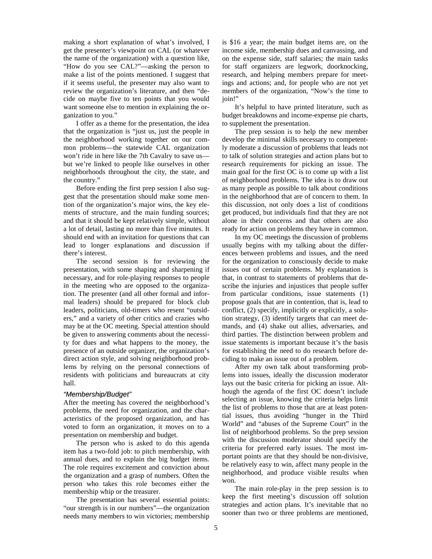making a short explanation of what's involved, I get the presenter's viewpoint on CAL (or whatever the name of the organization) with a question like, "How do you see CAL?"—asking the person to make a list of the points mentioned. I suggest that if it seems useful, the presenter may also want to review the organization's literature, and then "decide on maybe five to ten points that you would want someone else to mention in explaining the organization to you."

I offer as a theme for the presentation, the idea that the organization is "just us, just the people in the neighborhood working together on our common problems—the statewide CAL organization won't ride in here like the 7th Cavalry to save us but we're linked to people like ourselves in other neighborhoods throughout the city, the state, and the country."

Before ending the first prep session I also suggest that the presentation should make some mention of the organization's major wins, the key elements of structure, and the main funding sources; and that it should be kept relatively simple, without a lot of detail, lasting no more than five minutes. It should end with an invitation for questions that can lead to longer explanations and discussion if there's interest.

The second session is for reviewing the presentation, with some shaping and sharpening if necessary, and for role-playing responses to people in the meeting who are opposed to the organization. The presenter (and all other formal and informal leaders) should be prepared for block club leaders, politicians, old-timers who resent "outsiders," and a variety of other critics and crazies who may be at the OC meeting. Special attention should be given to answering comments about the necessity for dues and what happens to the money, the presence of an outside organizer, the organization's direct action style, and solving neighborhood problems by relying on the personal connections of residents with politicians and bureaucrats at city hall.

#### *"Membership/Budget"*

After the meeting has covered the neighborhood's problems, the need for organization, and the characteristics of the proposed organization, and has voted to form an organization, it moves on to a presentation on membership and budget.

The person who is asked to do this agenda item has a two-fold job: to pitch membership, with annual dues, and to explain the big budget items. The role requires excitement and conviction about the organization and a grasp of numbers. Often the person who takes this role becomes either the membership whip or the treasurer.

The presentation has several essential points: "our strength is in our numbers"—the organization needs many members to win victories; membership is \$16 a year; the main budget items are, on the income side, membership dues and canvassing, and on the expense side, staff salaries; the main tasks for staff organizers are legwork, doorknocking, research, and helping members prepare for meetings and actions; and, for people who are not yet members of the organization, "Now's the time to join!"

It's helpful to have printed literature, such as budget breakdowns and income-expense pie charts, to supplement the presentation.

The prep session is to help the new member develop the minimal skills necessary to competently moderate a discussion of problems that leads not to talk of solution strategies and action plans but to research requirements for picking an issue. The main goal for the first OC is to come up with a list of neighborhood problems. The idea is to draw out as many people as possible to talk about conditions in the neighborhood that are of concern to them. In this discussion, not only does a list of conditions get produced, but individuals find that they are not alone in their concerns and that others are also ready for action on problems they have in common.

In my OC meetings the discussion of problems usually begins with my talking about the differences between problems and issues, and the need for the organization to consciously decide to make issues out of certain problems. My explanation is that, in contrast to statements of problems that describe the injuries and injustices that people suffer from particular conditions, issue statements (1) propose goals that are in contention, that is, lead to conflict, (2) specify, implicitly or explicitly, a solution strategy, (3) identify targets that can meet demands, and (4) shake out allies, adversaries, and third parties. The distinction between problem and issue statements is important because it's the basis for establishing the need to do research before deciding to make an issue out of a problem.

After my own talk about transforming problems into issues, ideally the discussion moderator lays out the basic criteria for picking an issue. Although the agenda of the first OC doesn't include selecting an issue, knowing the criteria helps limit the list of problems to those that are at least potential issues, thus avoiding "hunger in the Third World" and "abuses of the Supreme Court" in the list of neighborhood problems. So the prep session with the discussion moderator should specify the criteria for preferred early issues. The most important points are that they should be non-divisive, be relatively easy to win, affect many people in the neighborhood, and produce visible results when won.

The main role-play in the prep session is to keep the first meeting's discussion off solution strategies and action plans. It's inevitable that no sooner than two or three problems are mentioned,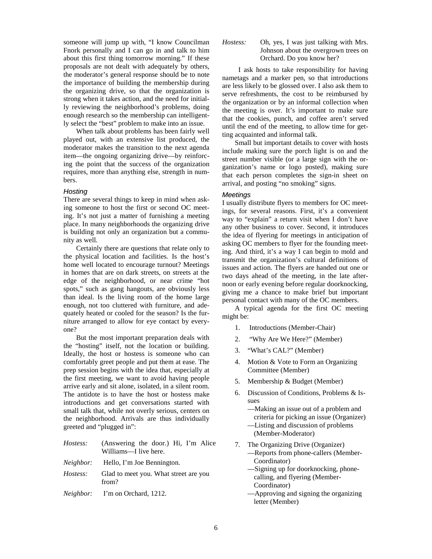someone will jump up with, "I know Councilman Fnork personally and I can go in and talk to him about this first thing tomorrow morning." If these proposals are not dealt with adequately by others, the moderator's general response should be to note the importance of building the membership during the organizing drive, so that the organization is strong when it takes action, and the need for initially reviewing the neighborhood's problems, doing enough research so the membership can intelligently select the "best" problem to make into an issue.

When talk about problems has been fairly well played out, with an extensive list produced, the moderator makes the transition to the next agenda item—the ongoing organizing drive—by reinforcing the point that the success of the organization requires, more than anything else, strength in numbers.

#### *Hosting*

There are several things to keep in mind when asking someone to host the first or second OC meeting. It's not just a matter of furnishing a meeting place. In many neighborhoods the organizing drive is building not only an organization but a community as well.

Certainly there are questions that relate only to the physical location and facilities. Is the host's home well located to encourage turnout? Meetings in homes that are on dark streets, on streets at the edge of the neighborhood, or near crime "hot spots," such as gang hangouts, are obviously less than ideal. Is the living room of the home large enough, not too cluttered with furniture, and adequately heated or cooled for the season? Is the furniture arranged to allow for eye contact by everyone?

But the most important preparation deals with the "hosting" itself, not the location or building. Ideally, the host or hostess is someone who can comfortably greet people and put them at ease. The prep session begins with the idea that, especially at the first meeting, we want to avoid having people arrive early and sit alone, isolated, in a silent room. The antidote is to have the host or hostess make introductions and get conversations started with small talk that, while not overly serious, centers on the neighborhood. Arrivals are thus individually greeted and "plugged in":

| Hostess:  | (Answering the door.) Hi, I'm Alice<br>Williams—I live here. |
|-----------|--------------------------------------------------------------|
| Neighbor: | Hello, I'm Joe Bennington.                                   |
| Hostess:  | Glad to meet you. What street are you<br>from?               |
|           | <i>Neighbor:</i> I'm on Orchard, 1212.                       |

#### *Hostess:* Oh, yes, I was just talking with Mrs. Johnson about the overgrown trees on Orchard. Do you know her?

 I ask hosts to take responsibility for having nametags and a marker pen, so that introductions are less likely to be glossed over. I also ask them to serve refreshments, the cost to be reimbursed by the organization or by an informal collection when the meeting is over. It's important to make sure that the cookies, punch, and coffee aren't served until the end of the meeting, to allow time for getting acquainted and informal talk.

Small but important details to cover with hosts include making sure the porch light is on and the street number visible (or a large sign with the organization's name or logo posted), making sure that each person completes the sign-in sheet on arrival, and posting "no smoking" signs.

#### *Meetings*

I usually distribute flyers to members for OC meetings, for several reasons. First, it's a convenient way to "explain" a return visit when I don't have any other business to cover. Second, it introduces the idea of flyering for meetings in anticipation of asking OC members to flyer for the founding meeting. And third, it's a way I can begin to mold and transmit the organization's cultural definitions of issues and action. The flyers are handed out one or two days ahead of the meeting, in the late afternoon or early evening before regular doorknocking, giving me a chance to make brief but important personal contact with many of the OC members.

A typical agenda for the first OC meeting might be:

- 1. Introductions (Member-Chair)
- 2. "Why Are We Here?" (Member)
- 3. "What's CAL?" (Member)
- 4. Motion & Vote to Form an Organizing Committee (Member)
- 5. Membership & Budget (Member)
- 6. Discussion of Conditions, Problems & Issues
	- —Making an issue out of a problem and criteria for picking an issue (Organizer)
	- —Listing and discussion of problems (Member-Moderator)
- 7. The Organizing Drive (Organizer) —Reports from phone-callers (Member-Coordinator)
	- —Signing up for doorknocking, phonecalling, and flyering (Member-Coordinator)
	- —Approving and signing the organizing letter (Member)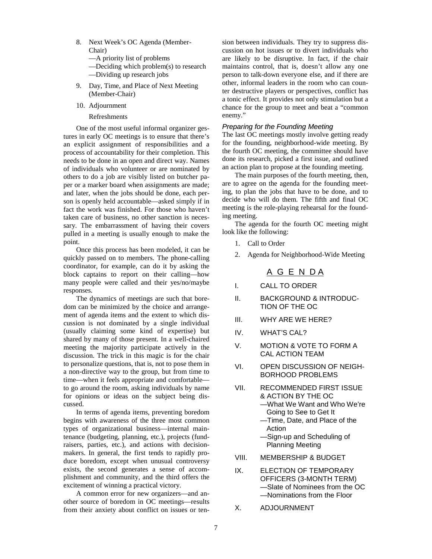- 8. Next Week's OC Agenda (Member-Chair)
	- —A priority list of problems
	- —Deciding which problem(s) to research —Dividing up research jobs
- 9. Day, Time, and Place of Next Meeting (Member-Chair)
- 10. Adjournment
	- Refreshments

One of the most useful informal organizer gestures in early OC meetings is to ensure that there's an explicit assignment of responsibilities and a process of accountability for their completion. This needs to be done in an open and direct way. Names of individuals who volunteer or are nominated by others to do a job are visibly listed on butcher paper or a marker board when assignments are made; and later, when the jobs should be done, each person is openly held accountable—asked simply if in fact the work was finished. For those who haven't taken care of business, no other sanction is necessary. The embarrassment of having their covers pulled in a meeting is usually enough to make the point.

Once this process has been modeled, it can be quickly passed on to members. The phone-calling coordinator, for example, can do it by asking the block captains to report on their calling—how many people were called and their yes/no/maybe responses.

The dynamics of meetings are such that boredom can be minimized by the choice and arrangement of agenda items and the extent to which discussion is not dominated by a single individual (usually claiming some kind of expertise) but shared by many of those present. In a well-chaired meeting the majority participate actively in the discussion. The trick in this magic is for the chair to personalize questions, that is, not to pose them in a non-directive way to the group, but from time to time—when it feels appropriate and comfortable to go around the room, asking individuals by name for opinions or ideas on the subject being discussed.

In terms of agenda items, preventing boredom begins with awareness of the three most common types of organizational business—internal maintenance (budgeting, planning, etc.), projects (fundraisers, parties, etc.), and actions with decisionmakers. In general, the first tends to rapidly produce boredom, except when unusual controversy exists, the second generates a sense of accomplishment and community, and the third offers the excitement of winning a practical victory.

A common error for new organizers—and another source of boredom in OC meetings—results from their anxiety about conflict on issues or tension between individuals. They try to suppress discussion on hot issues or to divert individuals who are likely to be disruptive. In fact, if the chair maintains control, that is, doesn't allow any one person to talk-down everyone else, and if there are other, informal leaders in the room who can counter destructive players or perspectives, conflict has a tonic effect. It provides not only stimulation but a chance for the group to meet and beat a "common enemy."

#### *Preparing for the Founding Meeting*

The last OC meetings mostly involve getting ready for the founding, neighborhood-wide meeting. By the fourth OC meeting, the committee should have done its research, picked a first issue, and outlined an action plan to propose at the founding meeting.

The main purposes of the fourth meeting, then, are to agree on the agenda for the founding meeting, to plan the jobs that have to be done, and to decide who will do them. The fifth and final OC meeting is the role-playing rehearsal for the founding meeting.

The agenda for the fourth OC meeting might look like the following:

- 1. Call to Order
- 2. Agenda for Neighborhood-Wide Meeting

#### A G E N D A

- I. CALL TO ORDER
- II. BACKGROUND & INTRODUC-TION OF THE OC
- III. WHY ARE WE HERE?
- IV. WHAT'S CAL?
- V. MOTION & VOTE TO FORM A CAL ACTION TEAM
- VI. OPEN DISCUSSION OF NEIGH-BORHOOD PROBLEMS
- VII. RECOMMENDED FIRST ISSUE & ACTION BY THE OC —What We Want and Who We're Going to See to Get It
	- —Time, Date, and Place of the Action
	- —Sign-up and Scheduling of Planning Meeting
- VIII. MEMBERSHIP & BUDGET
- IX. ELECTION OF TEMPORARY OFFICERS (3-MONTH TERM) —Slate of Nominees from the OC —Nominations from the Floor
- X. ADJOURNMENT